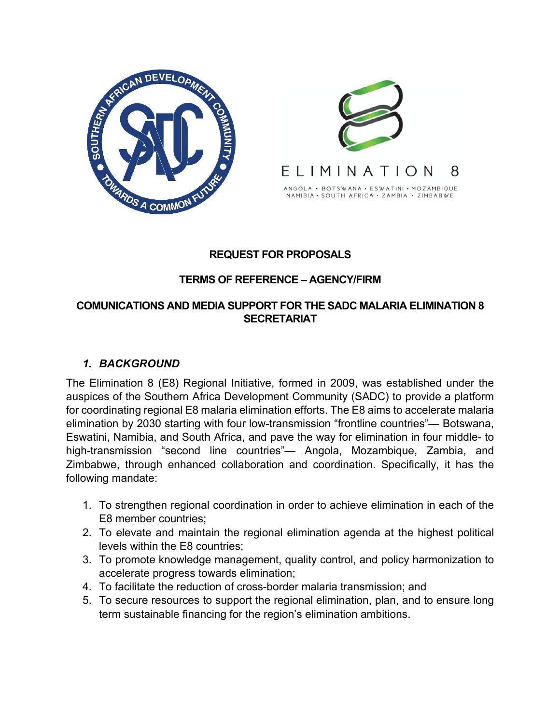



### **REQUEST FOR PROPOSALS**

### **TERMS OF REFERENCE – AGENCY/FIRM**

#### **COMUNICATIONS AND MEDIA SUPPORT FOR THE SADC MALARIA ELIMINATION 8 SECRETARIAT**

## *1. BACKGROUND*

The Elimination 8 (E8) Regional Initiative, formed in 2009, was established under the auspices of the Southern Africa Development Community (SADC) to provide a platform for coordinating regional E8 malaria elimination efforts. The E8 aims to accelerate malaria elimination by 2030 starting with four low-transmission "frontline countries"— Botswana, Eswatini, Namibia, and South Africa, and pave the way for elimination in four middle- to high-transmission "second line countries"— Angola, Mozambique, Zambia, and Zimbabwe, through enhanced collaboration and coordination. Specifically, it has the following mandate:

- 1. To strengthen regional coordination in order to achieve elimination in each of the E8 member countries;
- 2. To elevate and maintain the regional elimination agenda at the highest political levels within the E8 countries;
- 3. To promote knowledge management, quality control, and policy harmonization to accelerate progress towards elimination;
- 4. To facilitate the reduction of cross-border malaria transmission; and
- 5. To secure resources to support the regional elimination, plan, and to ensure long term sustainable financing for the region's elimination ambitions.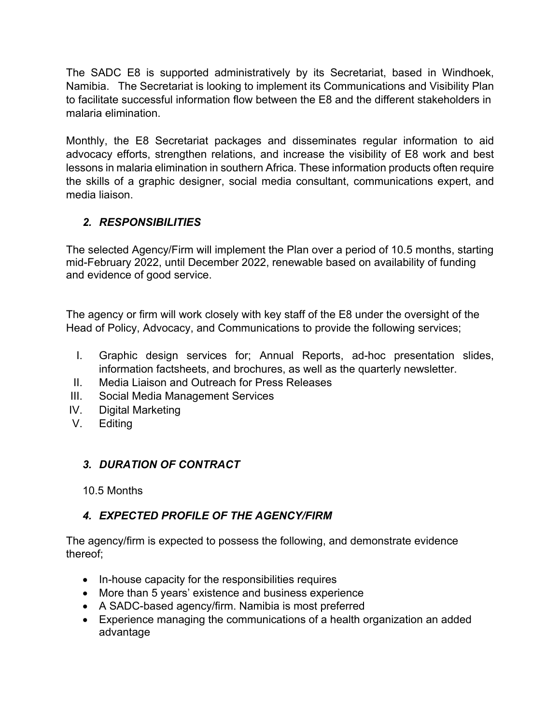The SADC E8 is supported administratively by its Secretariat, based in Windhoek, Namibia. The Secretariat is looking to implement its Communications and Visibility Plan to facilitate successful information flow between the E8 and the different stakeholders in malaria elimination.

Monthly, the E8 Secretariat packages and disseminates regular information to aid advocacy efforts, strengthen relations, and increase the visibility of E8 work and best lessons in malaria elimination in southern Africa. These information products often require the skills of a graphic designer, social media consultant, communications expert, and media liaison.

# *2. RESPONSIBILITIES*

The selected Agency/Firm will implement the Plan over a period of 10.5 months, starting mid-February 2022, until December 2022, renewable based on availability of funding and evidence of good service.

The agency or firm will work closely with key staff of the E8 under the oversight of the Head of Policy, Advocacy, and Communications to provide the following services;

- I. Graphic design services for; Annual Reports, ad-hoc presentation slides, information factsheets, and brochures, as well as the quarterly newsletter.
- II. Media Liaison and Outreach for Press Releases
- III. Social Media Management Services
- IV. Digital Marketing
- V. Editing

# *3. DURATION OF CONTRACT*

10.5 Months

# *4. EXPECTED PROFILE OF THE AGENCY/FIRM*

The agency/firm is expected to possess the following, and demonstrate evidence thereof;

- In-house capacity for the responsibilities requires
- More than 5 years' existence and business experience
- A SADC-based agency/firm. Namibia is most preferred
- Experience managing the communications of a health organization an added advantage